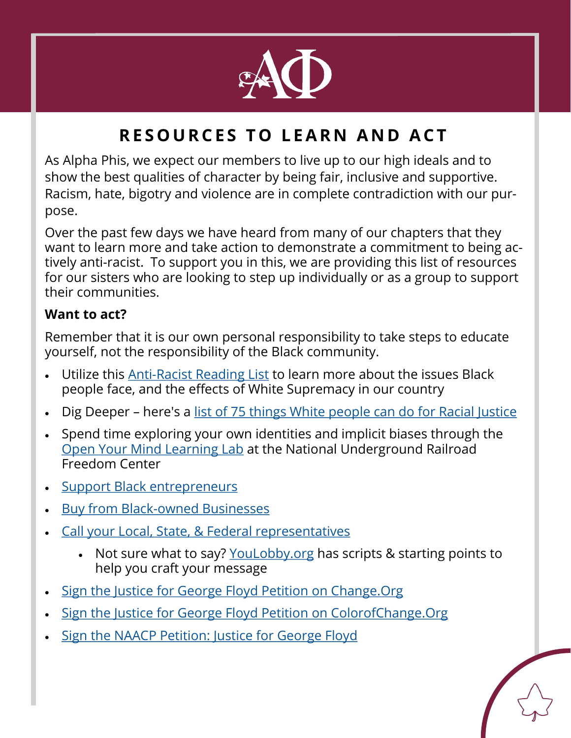

## **RESOURCES TO LEARN AND ACT**

As Alpha Phis, we expect our members to live up to our high ideals and to show the best qualities of character by being fair, inclusive and supportive. Racism, hate, bigotry and violence are in complete contradiction with our purpose.

Over the past few days we have heard from many of our chapters that they want to learn more and take action to demonstrate a commitment to being actively anti-racist. To support you in this, we are providing this list of resources for our sisters who are looking to step up individually or as a group to support their communities.

## **Want to act?**

Remember that it is our own personal responsibility to take steps to educate yourself, not the responsibility of the Black community.

- Utilize this Anti-[Racist Reading List](https://www.elle.com/culture/books/g32687973/black-history-books-reading-list/) to learn more about the issues Black people face, and the effects of White Supremacy in our country
- Dig Deeper here's a [list of 75 things White people can do for Racial Justice](https://medium.com/equality-includes-you/what-white-people-can-do-for-racial-justice-f2d18b0e0234)
- Spend time exploring your own identities and implicit biases through the [Open Your Mind Learning Lab](https://freedomcenter.org/exhibits/OpenYourMindLab) at the National Underground Railroad Freedom Center
- **[Support Black entrepreneurs](https://themadmommy.com/black-owned-etsy-shops/?fbclid=IwAR1oq2PiL8CY8rFocEuyneZEsHw5ahOCY2OdKTxCZHbuH_D7sTQLfjW4zng)**
- **Buy from Black-[owned Businesses](https://webuyblack.com/)**
- [Call your Local, State, & Federal representatives](https://www.usa.gov/elected-officials)
	- Not sure what to say? [YouLobby.org](https://youlobby.org/) has scripts & starting points to help you craft your message
- [Sign the Justice for George Floyd Petition on Change.Org](https://www.change.org/p/mayor-jacob-frey-justice-for-george-floyd?recruiter=1096617288&utm_source=share_petition&utm_medium=twitter&utm_campaign=psf_combo_share_initial&utm_term=psf_combo_share_abi&recruited_by_id=2943f820-a174-11ea-b563-a538d17ee3bd)
- [Sign the Justice for George Floyd Petition on ColorofChange.Org](https://act.colorofchange.org/sign/justiceforfloyd_george_floyd_minneapolis)
- [Sign the NAACP Petition: Justice for George Floyd](https://www.naacp.org/campaigns/we-are-done-dying/?fbclid=IwAR2BDC4Q_ju-HqmyO_NcfJK_m7cf-c2l5DWl9GpDfvQHlbpfHCP0fq1ZWJ0)